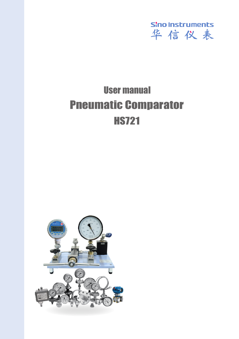

# User manual HS721 Pneumatic Comparator

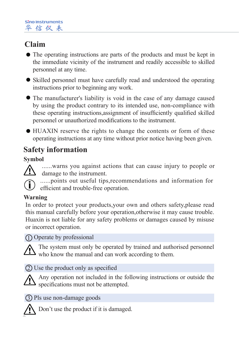# **Claim**

- The operating instructions are parts of the products and must be kept in the immediate vicinity of the instrument and readily accessible to skilled personnel at any time.
- Skilled personnel must have carefully read and understood the operating instructions prior to beginning any work.
- The manufacturer's liability is void in the case of any damage caused by using the product contrary to its intended use, non-compliance with these operating instructions,assignment of insufficiently qualified skilled personnel or unauthorized modifications to the instrument.
- HUAXIN reserve the rights to change the contents or form of these operating instructions at any time without prior notice having been given.

# **Safety information**

### **Symbol**

......warns you against actions that can cause injury to people or damage to the instrument.

......points out useful tips,recommendations and information for efficient and trouble-free operation.

### **Warning**

In order to protect your products,your own and others safety,please read this manual carefully before your operation,otherwise it may cause trouble. Huaxin is not liable for any safety problems or damages caused by misuse or incorrect operation.

## Operate by professional 1

The system must only be operated by trained and authorised personnel  $\Delta$  who know the manual and can work according to them.

Use the product only as specified 2



Any operation not included in the following instructions or outside the specifications must not be attempted.

Pls use non-damage goods 3



Don't use the product if it is damaged.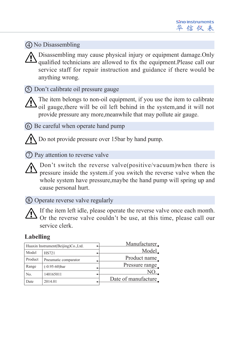## No Disassembling 4

Disassembling may cause physical injury or equipment damage.Only qualified technicians are allowed to fix the equipment.Please call our service staff for repair instruction and guidance if there would be anything wrong.

Don't calibrate oil pressure gauge 5

The item belongs to non-oil equipment, if you use the item to calibrate  $\Delta$  oil gauge, there will be oil left behind in the system, and it will not provide pressure any more,meanwhile that may pollute air gauge.

Be careful when operate hand pump 6

Do not provide pressure over 15bar by hand pump.

**D** Pay attention to reverse valve

Don't switch the reverse valve(positive/vacuum)when there is pressure inside the system.if you switch the reverse valve when the whole system have pressure, may be the hand pump will spring up and cause personal hurt.

Operate reverse valve regularly 8

If the item left idle, please operate the reverse valve once each month. Or the reverse valve couldn't be use, at this time, please call our service clerk.

## **Labelling**

| Huaxin Instrument (Beijing) Co., Ltd. |                      |  | Manufacturer.       |
|---------------------------------------|----------------------|--|---------------------|
| Model                                 | <b>HS721</b>         |  | Model.              |
| Product                               | Pneumatic comparator |  | Product name        |
| Range                                 | $(-0.95-60)$ bar     |  | Pressure range      |
| No.                                   | 140165011            |  | NO.                 |
| Date                                  | 2014.01              |  | Date of manufacture |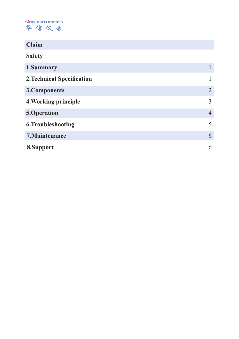Sino Instruments 华信仪表

| Claim                             |   |
|-----------------------------------|---|
| <b>Safety</b>                     |   |
| 1.Summary                         |   |
| <b>2. Technical Specification</b> |   |
| 3. Components                     | 2 |
| 4. Working principle              | 3 |
| 5.Operation                       | 4 |
| 6. Troubleshooting                | 5 |
| 7. Maintenance                    | 6 |
| 8.Support                         | 6 |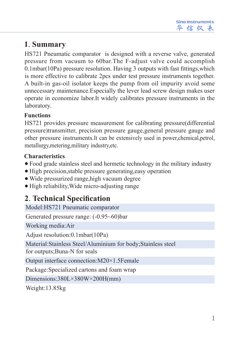# **1**.**Summary**

HS721 Pneumatic comparator is designed with a reverse valve, generated pressure from vacuum to 60bar.The F-adjust valve could accomplish 0.1mbar(10Pa) pressure resolution. Having 3 outputs with fast fittings,which is more effective to calibrate 2pcs under test pressure instruments together. A built-in gas-oil isolator keeps the pump from oil impurity avoid some unnecessary maintenance.Especially the lever lead screw design makes user operate in economize labor.It widely calibrates pressure instruments in the laboratory.

## **Functions**

HS721 provides pressure measurement for calibrating pressure(differential pressure)transmitter, precision pressure gauge,general pressure gauge and other pressure instruments.It can be extensively used in power,chemical,petrol, metallurgy,metering,military industry,etc.

## **Characteristics**

- Food grade stainless steel and hermetic technology in the military industry
- High precision,stable pressure generating,easy operation
- Wide pressurized range,high vacuum degree
- High reliability, Wide micro-adjusting range

# **2**.**Technical Specification**

Model:HS721 Pneumatic comparator Generated pressure range: (-0.95~60)bar Working media:Air Adjust resolution:0.1mbar(10Pa) Material:Stainless Steel/Aluminium for body;Stainless steel for outputs;Buna-N for seals Output interface connection:M20×1.5Female Package:Specialized cartons and foam wrap Dimensions:380L×380W×200H(mm) Weight:13.85kg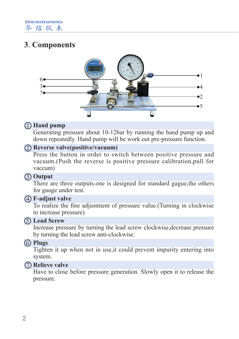Sino Instruments 华信仪表

# **3**.**Components**



### **Hand pump** 1

Generating pressure about 10-12bar by running the hand pump up and down repeatedly. Hand pump will be work out pre-pressure function.

### **Reverse valve(positive/vacuum)** 2

Press the button in order to switch between positive pressure and vacuum.(Push the reverse is positive pressure calibration,pull for vaccum)

### **Output** 3

There are three outputs.one is designed for standard gague,the others for gauge under test.

#### **F-adjust valve** 4

To realize the fine adjustment of pressure value.(Turning in clockwise to increase pressure)

#### **Lead Screw** 5

Increase pressure by turning the lead screw clockwise,decrease pressure by turning the lead screw anti-clockwise.

#### 6 **Plugs**

Tighten it up when not in use,it could prevent impurity entering into system.

#### 7 **Relieve valve**

Have to close before pressure generation. Slowly open it to release the pressure.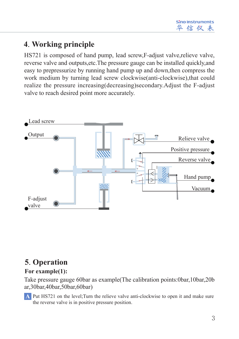# **4**.**Working principle**

HS721 is composed of hand pump, lead screw,F-adjust valve,relieve valve, reverse valve and outputs,etc.The pressure gauge can be installed quickly,and easy to prepressurize by running hand pump up and down,then compress the work medium by turning lead screw clockwise(anti-clockwise),that could realize the pressure increasing(decreasing)secondary.Adjust the F-adjust valve to reach desired point more accurately.



# **5**.**Operation**

## **For example(1):**

Take pressure gauge 60bar as example(The calibration points:0bar,10bar,20b ar,30bar,40bar,50bar,60bar)

A Put HS721 on the level; Turn the relieve valve anti-clockwise to open it and make sure the reverse valve is in positive pressure position.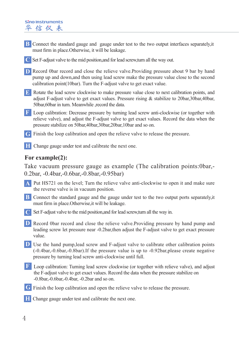#### **Sing Instruments** 华信仪表

- **B** Connect the standard gauge and gauge under test to the two output interfaces separately, it must firm in place.Otherwise, it will be leakage.
- **C** Set F-adjust valve to the mid position,and for lead screw,turn all the way out.
- **D** Record 0bar record and close the relieve valve.Providing pressure about 9 bar by hand pump up and down,and then using lead screw make the pressure value close to the second calibration point(10bar). Turn the F-adjust valve to get exact value.
- **E** Rotate the lead screw clockwise to make pressure value close to next calibration points, and adjust F-adjust valve to get exact values. Pressure rising  $\&$  stabilize to 20bar, 30bar, 40bar, 50bar,60bar in turn. Meanwhile ,record the data.
- **F** Loop calibration: Decrease pressure by turning lead screw anti-clockwise (or together with relieve valve), and adjust the F-adjust valve to get exact values. Record the data when the pressure stabilize on 50bar,40bar,30bar,20bar,10bar and so on.
- **G** Finish the loop calibration and open the relieve valve to release the pressure.
- **H** Change gauge under test and calibrate the next one.

### **For example(2):**

Take vacuum pressure gauge as example (The calibration points:0bar,- 0.2bar, -0.4bar,-0.6bar,-0.8bar,-0.95bar)

- Put HS721 on the level; Turn the relieve valve anti-clockwise to open it and make sure **A** the reverse valve is in vacuum position.
- **B** Connect the standard gauge and the gauge under test to the two output ports separately, it must firm in place.Otherwise,it will be leakage.
- **C** Set F-adjust valve to the mid position,and for lead screw,turn all the way in.
- **D** Record 0bar record and close the relieve valve.Providing pressure by hand pump and leading screw let pressure near -0.2bar,then adjust the F-adjust valve to get exact pressure value.
- **D** Use the hand pump, lead screw and F-adjust valve to calibrate other calibration points (-0.4bar,-0.6bar,-0.8bar).If the pressure value is up to -0.92bar,please create negative pressure by turning lead screw anti-clockwise until full.
- **F** Loop calibration: Turning lead screw clockwise (or together with relieve valve), and adjust the F-adjust valve to get exact values. Record the data when the pressure stabilize on -0.8bar,-0.6bar,-0.4bar, -0.2bar and so on.
- Finish the loop calibration and open the relieve valve to release the pressure. **G**
- Change gauge under test and calibrate the next one. **H**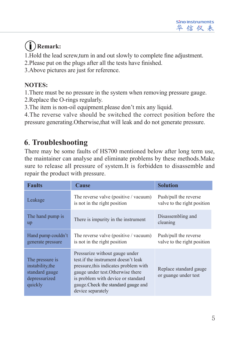# **Remark:**

1.Hold the lead screw,turn in and out slowly to complete fine adjustment.

- 2.Please put on the plugs after all the tests have finished.
- 3.Above pictures are just for reference.

# **NOTES:**

1.There must be no pressure in the system when removing pressure gauge.

2.Replace the O-rings regularly.

3.The item is non-oil equipment.please don't mix any liquid.

4.The reverse valve should be switched the correct position before the pressure generating.Otherwise,that will leak and do not generate pressure.

# **6**.**Troubleshooting**

There may be some faults of HS700 mentioned below after long term use, the maintainer can analyse and eliminate problems by these methods.Make sure to release all pressure of system.It is forbidden to disassemble and repair the product with pressure.

| <b>Faults</b>                                                                     | <b>Cause</b>                                                                                                                                                                                                                                          | <b>Solution</b>                                      |
|-----------------------------------------------------------------------------------|-------------------------------------------------------------------------------------------------------------------------------------------------------------------------------------------------------------------------------------------------------|------------------------------------------------------|
| Leakage                                                                           | The reverse valve (positive / vacuum)<br>is not in the right position                                                                                                                                                                                 | Push/pull the reverse<br>valve to the right position |
| The hand pump is<br>up                                                            | There is impurity in the instrument                                                                                                                                                                                                                   | Disassembling and<br>cleaning                        |
| Hand pump couldn't<br>generate pressure                                           | The reverse valve (positive / vacuum)<br>is not in the right position                                                                                                                                                                                 | Push/pull the reverse<br>valve to the right position |
| The pressure is<br>instability, the<br>standard gauge<br>depressurized<br>quickly | Pressurize without gauge under<br>test if the instrument doesn't leak<br>pressure, this indicates problem with<br>gauge under test. Otherwise there<br>is problem with device or standard<br>gauge. Check the standard gauge and<br>device separately | Replace standard gauge<br>or guange under test       |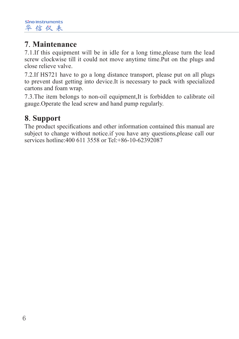# **7**.**Maintenance**

7.1.If this equipment will be in idle for a long time,please turn the lead screw clockwise till it could not move anytime time.Put on the plugs and close relieve valve.

7.2.If HS721 have to go a long distance transport, please put on all plugs to prevent dust getting into device.It is necessary to pack with specialized cartons and foam wrap.

7.3.The item belongs to non-oil equipment,It is forbidden to calibrate oil gauge.Operate the lead screw and hand pump regularly.

# **8**.**Support**

The product specifications and other information contained this manual are subject to change without notice.if you have any questions,please call our services hotline: 400 611 3558 or Tel: +86-10-62392087